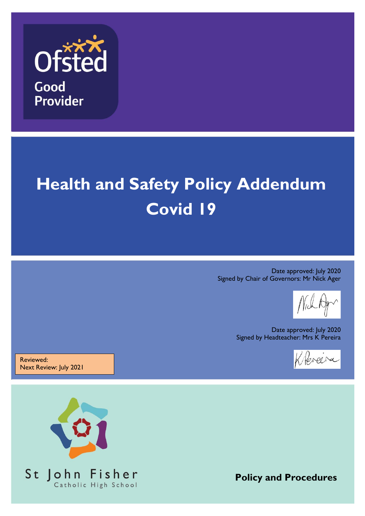

## **Health and Safety Policy Addendum Covid 19**

Date approved: July 2020 Signed by Chair of Governors: Mr Nick Ager

Date approved: July 2020 Signed by Headteacher: Mrs K Pereira



Reviewed: Next Review: July 2021



**Policy and Procedures**